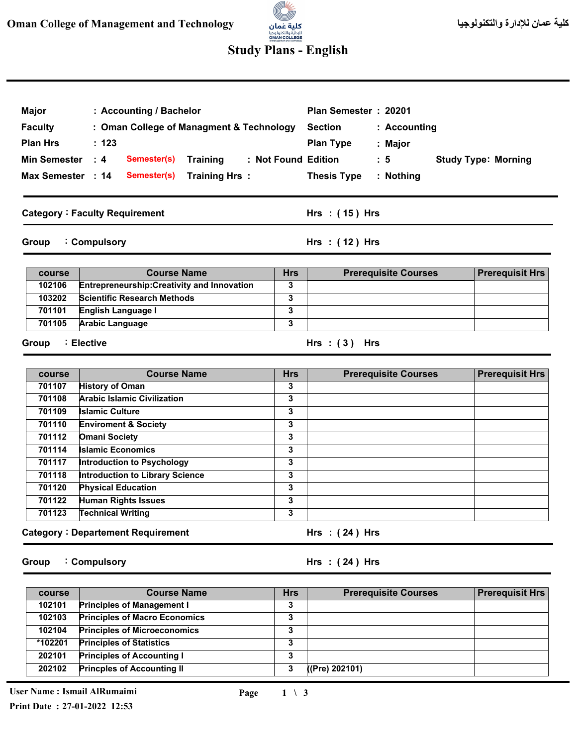

## **Study Plans - English**

| <b>Major</b>        | : Accounting / Bachelor                            |                         | Plan Semester: 20201                          |                            |
|---------------------|----------------------------------------------------|-------------------------|-----------------------------------------------|----------------------------|
| <b>Faculty</b>      | : Oman College of Managment & Technology           |                         | <b>Section</b><br>: Accounting                |                            |
| <b>Plan Hrs</b>     | : 123                                              |                         | <b>Plan Type</b><br>: Major                   |                            |
| <b>Min Semester</b> | $\therefore$ 4<br>Semester(s)<br><b>Training</b>   |                         | : Not Found Edition<br>: 5                    | <b>Study Type: Morning</b> |
|                     |                                                    |                         |                                               |                            |
| Max Semester : 14   | <b>Training Hrs:</b><br>Semester(s)                |                         | <b>Thesis Type</b><br>: Nothing               |                            |
|                     | <b>Category: Faculty Requirement</b>               |                         | Hrs : (15) Hrs                                |                            |
| Group               | : Compulsory                                       |                         | Hrs: (12) Hrs                                 |                            |
| course              | <b>Course Name</b>                                 | <b>Hrs</b>              | <b>Prerequisite Courses</b>                   | <b>Prerequisit Hrs</b>     |
| 102106              | <b>Entrepreneurship: Creativity and Innovation</b> | 3                       |                                               |                            |
| 103202              | <b>Scientific Research Methods</b>                 | 3                       |                                               |                            |
| 701101              | English Language I                                 | $\overline{\mathbf{3}}$ |                                               |                            |
| 701105              | <b>Arabic Language</b>                             | $\overline{\mathbf{3}}$ |                                               |                            |
| Group               | : Elective<br><b>Course Name</b>                   | <b>Hrs</b>              | Hrs: $(3)$ Hrs<br><b>Prerequisite Courses</b> | <b>Prerequisit Hrs</b>     |
| course<br>701107    | <b>History of Oman</b>                             | 3                       |                                               |                            |
| 701108              | <b>Arabic Islamic Civilization</b>                 | $\overline{\mathbf{3}}$ |                                               |                            |
| 701109              | <b>Islamic Culture</b>                             | 3                       |                                               |                            |
| 701110              | <b>Enviroment &amp; Society</b>                    | 3                       |                                               |                            |
| 701112              | <b>Omani Society</b>                               | 3                       |                                               |                            |
| 701114              | <b>Islamic Economics</b>                           | 3                       |                                               |                            |
| 701117              | Introduction to Psychology                         | 3                       |                                               |                            |
| 701118              | <b>Introduction to Library Science</b>             | 3                       |                                               |                            |
| 701120              | <b>Physical Education</b>                          | 3                       |                                               |                            |
| 701122              | <b>Human Rights Issues</b>                         | $\overline{\mathbf{3}}$ |                                               |                            |
| 701123              | <b>Technical Writing</b>                           | 3                       |                                               |                            |
|                     |                                                    |                         |                                               |                            |
|                     | <b>Category: Departement Requirement</b>           |                         | Hrs: $(24)$ Hrs                               |                            |

| course  | <b>Course Name</b>                   | <b>Hrs</b> | <b>Prerequisite Courses</b> | <b>Prerequisit Hrs</b> |
|---------|--------------------------------------|------------|-----------------------------|------------------------|
| 102101  | <b>Principles of Management I</b>    | っ<br>٠J    |                             |                        |
| 102103  | <b>Principles of Macro Economics</b> | o<br>٠J    |                             |                        |
| 102104  | <b>Principles of Microeconomics</b>  | o<br>د     |                             |                        |
| *102201 | <b>Principles of Statistics</b>      | 3          |                             |                        |
| 202101  | <b>Principles of Accounting I</b>    | ,<br>د     |                             |                        |
| 202102  | <b>Princples of Accounting II</b>    | 3          | ((Pre) 202101)              |                        |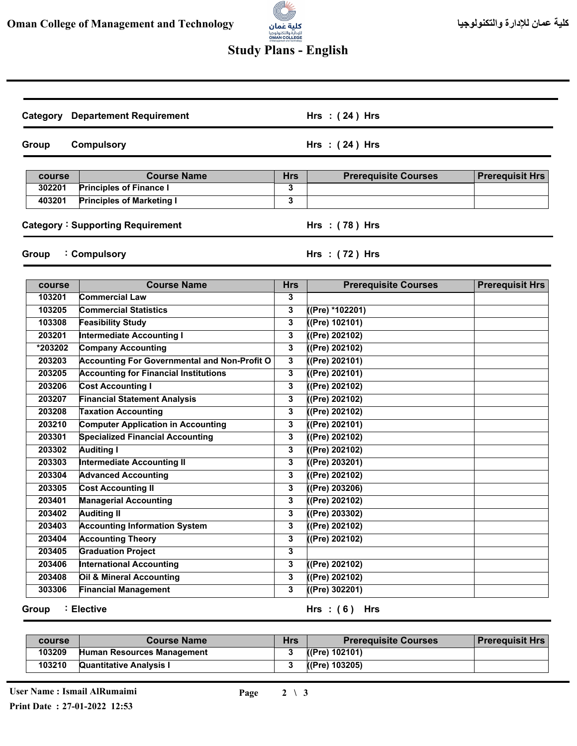

## **Study Plans - English**

|                            | <b>Category Departement Requirement</b>             |              | Hrs $:(24)$ Hrs             |                        |
|----------------------------|-----------------------------------------------------|--------------|-----------------------------|------------------------|
| <b>Compulsory</b><br>Group |                                                     |              | Hrs: $(24)$ Hrs             |                        |
| course                     | <b>Course Name</b>                                  | <b>Hrs</b>   | <b>Prerequisite Courses</b> | <b>Prerequisit Hrs</b> |
| 302201                     | <b>Principles of Finance I</b>                      | 3            |                             |                        |
| 403201                     | <b>Principles of Marketing I</b>                    | 3            |                             |                        |
|                            | <b>Category: Supporting Requirement</b>             |              | Hrs: (78) Hrs               |                        |
| Group                      | : Compulsory                                        |              | Hrs: (72) Hrs               |                        |
| course                     | <b>Course Name</b>                                  | <b>Hrs</b>   | <b>Prerequisite Courses</b> | <b>Prerequisit Hrs</b> |
| 103201                     | <b>Commercial Law</b>                               | 3            |                             |                        |
| 103205                     | <b>Commercial Statistics</b>                        | 3            | (Pre) *102201)              |                        |
| 103308                     | <b>Feasibility Study</b>                            | 3            | ((Pre) 102101)              |                        |
| 203201                     | <b>Intermediate Accounting I</b>                    | 3            | (Pre) 202102)               |                        |
| *203202                    | <b>Company Accounting</b>                           | 3            | ((Pre) 202102)              |                        |
| 203203                     | <b>Accounting For Governmental and Non-Profit O</b> | 3            | (Pre) 202101)               |                        |
| 203205                     | <b>Accounting for Financial Institutions</b>        | 3            | (Pre) 202101)               |                        |
| 203206                     | <b>Cost Accounting I</b>                            | 3            | (Pre) 202102)               |                        |
| 203207                     | <b>Financial Statement Analysis</b>                 | 3            | ((Pre) 202102)              |                        |
| 203208                     | <b>Taxation Accounting</b>                          | 3            | (Pre) 202102)               |                        |
| 203210                     | <b>Computer Application in Accounting</b>           | 3            | (Pre) 202101)               |                        |
| 203301                     | <b>Specialized Financial Accounting</b>             | 3            | (Pre) 202102)               |                        |
| 203302                     | <b>Auditing I</b>                                   | 3            | ((Pre) 202102)              |                        |
| 203303                     | <b>Intermediate Accounting II</b>                   | 3            | (Pre) 203201)               |                        |
| 203304                     | <b>Advanced Accounting</b>                          | 3            | (Pre) 202102)               |                        |
| 203305                     | <b>Cost Accounting II</b>                           | 3            | (Pre) 203206)               |                        |
| 203401                     | <b>Managerial Accounting</b>                        | 3            | ((Pre) 202102)              |                        |
| 203402                     | <b>Auditing II</b>                                  | 3            | ((Pre) 203302)              |                        |
| 203403                     | <b>Accounting Information System</b>                | 3            | (Pre) 202102)               |                        |
| 203404                     | <b>Accounting Theory</b>                            | 3            | ((Pre) 202102)              |                        |
| 203405                     | <b>Graduation Project</b>                           | 3            |                             |                        |
| 203406                     | <b>International Accounting</b>                     | 3            | ((Pre) 202102)              |                        |
| 203408                     | Oil & Mineral Accounting                            | 3            | (Pre) 202102)               |                        |
| 303306                     | <b>Financial Management</b>                         | $\mathbf{3}$ | $($ (Pre) 302201)           |                        |

**Group Elective :**

**( 6 ) Hrs : Hrs**

| course | <b>Course Name</b>             | Hrs | <b>Prerequisite Courses</b> | <b>Prerequisit Hrs</b> |
|--------|--------------------------------|-----|-----------------------------|------------------------|
| 103209 | Human Resources Management     |     | (Pre) 102101)               |                        |
| 103210 | <b>Quantitative Analysis I</b> |     | ((Pre) 103205)              |                        |